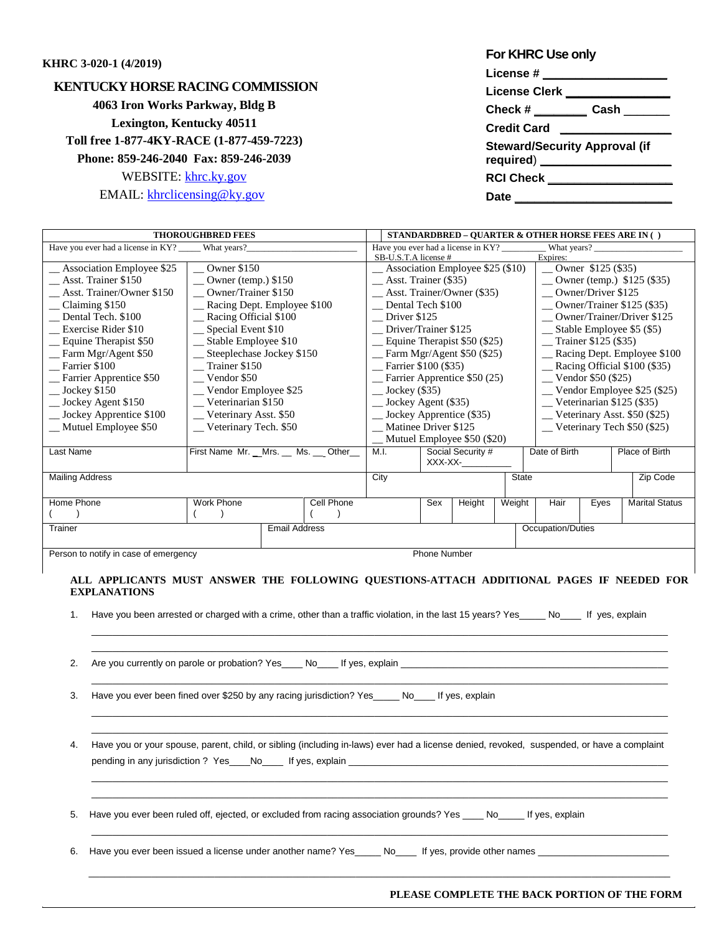## **KHRC 3-020-1 (4/2019)**

## **KENTUCKY HORSE RACING COMMISSION 4063 Iron Works Parkway, Bldg B Lexington, Kentucky 40511 Toll free 1-877-4KY-RACE (1-877-459-7223) Phone: 859-246-2040 Fax: 859-246-2039** WEBSITE: [khrc.ky.gov](http://www.khrc.ky.gov/) EMAIL: [khrclicensing@ky.gov](mailto:khrclicensing@ky.gov)

| For KHRC Use only                                       |
|---------------------------------------------------------|
| License # ____________                                  |
| License Clerk ___                                       |
| Check # ___________ Cash ________                       |
| <b>Credit Card</b>                                      |
| <b>Steward/Security Approval (if</b><br>required) _____ |
| <b>RCI Check</b>                                        |
| Date                                                    |

| <b>THOROUGHBRED FEES</b>                                                                 |                                        |                      |                                                | STANDARDBRED - QUARTER & OTHER HORSE FEES ARE IN ( )                    |                                       |                     |                             |               |                                    |                                       |                       |  |  |
|------------------------------------------------------------------------------------------|----------------------------------------|----------------------|------------------------------------------------|-------------------------------------------------------------------------|---------------------------------------|---------------------|-----------------------------|---------------|------------------------------------|---------------------------------------|-----------------------|--|--|
| Have you ever had a license in KY? ______ What years?                                    |                                        |                      | Have you ever had a license in KY? What years? |                                                                         |                                       |                     |                             |               |                                    |                                       |                       |  |  |
|                                                                                          |                                        |                      |                                                |                                                                         | SB-U.S.T.A license #                  |                     |                             |               | Expires:                           |                                       |                       |  |  |
| $\sim$ Owner \$150<br>_Association Employee \$25                                         |                                        |                      |                                                | $\_\_\$ Association Employee \$25 (\$10)<br>$\sqrt{$ Owner \$125 (\$35) |                                       |                     |                             |               |                                    |                                       |                       |  |  |
| Asst. Trainer \$150                                                                      | $\sim$ Owner (temp.) \$150             |                      |                                                |                                                                         | Asst. Trainer (\$35)                  |                     |                             |               |                                    | Owner (temp.) $$125 ($35)$            |                       |  |  |
| Asst. Trainer/Owner \$150                                                                | _Owner/Trainer \$150                   |                      |                                                |                                                                         | $-$ Asst. Trainer/Owner (\$35)        |                     |                             |               |                                    | _ Owner/Driver \$125                  |                       |  |  |
| Claiming \$150                                                                           | _Racing Dept. Employee \$100           |                      |                                                | Dental Tech \$100                                                       |                                       |                     |                             |               | $\sim$ Owner/Trainer \$125 (\$35)  |                                       |                       |  |  |
| Dental Tech. \$100                                                                       | _Racing Official \$100                 |                      |                                                |                                                                         | Driver \$125                          |                     |                             |               |                                    | _Owner/Trainer/Driver \$125           |                       |  |  |
| Exercise Rider \$10                                                                      | _ Special Event \$10                   |                      |                                                |                                                                         | Driver/Trainer \$125                  |                     |                             |               |                                    | __ Stable Employee \$5 (\$5)          |                       |  |  |
| $\equiv$ Equine Therapist \$50                                                           | __ Stable Employee \$10                |                      |                                                |                                                                         | $\_\_$ Equine Therapist \$50 (\$25)   |                     |                             |               |                                    | Trainer \$125 (\$35)                  |                       |  |  |
| _Farm Mgr/Agent \$50                                                                     | Steeplechase Jockey \$150              |                      |                                                |                                                                         | $\equiv$ Farm Mgr/Agent \$50 (\$25)   |                     |                             |               |                                    | _ Racing Dept. Employee \$100         |                       |  |  |
| Farrier \$100                                                                            | $\equiv$ Trainer \$150                 |                      |                                                |                                                                         | $\frac{1}{2}$ Farrier \$100 (\$35)    |                     |                             |               |                                    | $\_\_\$ Racing Official \$100 (\$35)  |                       |  |  |
| _ Farrier Apprentice \$50                                                                | Vendor \$50                            |                      |                                                |                                                                         | $\equiv$ Farrier Apprentice \$50 (25) |                     |                             |               |                                    | $\mu$ Vendor \$50 (\$25)              |                       |  |  |
| $\_\$ Jockey \$150                                                                       | $\_\_$ Vendor Employee \$25            |                      |                                                |                                                                         | $\_\$ Jockey (\$35)                   |                     |                             |               |                                    | _ Vendor Employee \$25 (\$25)         |                       |  |  |
| _ Jockey Agent \$150                                                                     | Veterinarian \$150                     |                      |                                                |                                                                         | $\_\_$ Jockey Agent (\$35)            |                     |                             |               |                                    | $\text{\_}$ Veterinarian \$125 (\$35) |                       |  |  |
| __ Jockey Apprentice \$100                                                               | _Veterinary Asst. \$50                 |                      |                                                |                                                                         | $\_\_$ Jockey Apprentice (\$35)       |                     |                             |               |                                    | $\_\_$ Veterinary Asst. \$50 (\$25)   |                       |  |  |
| _Mutuel Employee \$50                                                                    | _Veterinary Tech. \$50                 |                      |                                                | Matinee Driver \$125                                                    |                                       |                     |                             |               | $\_\_$ Veterinary Tech \$50 (\$25) |                                       |                       |  |  |
|                                                                                          |                                        |                      |                                                |                                                                         |                                       |                     | Mutuel Employee \$50 (\$20) |               |                                    |                                       |                       |  |  |
| Last Name                                                                                | First Name Mr. _ Mrs. __ Ms. __ Other_ |                      | M.I.                                           | Social Security #                                                       |                                       |                     |                             | Date of Birth |                                    | Place of Birth                        |                       |  |  |
|                                                                                          |                                        |                      |                                                |                                                                         |                                       |                     | XXX-XX-                     |               |                                    |                                       |                       |  |  |
| <b>Mailing Address</b>                                                                   |                                        |                      |                                                | City                                                                    |                                       |                     |                             | <b>State</b>  |                                    |                                       | Zip Code              |  |  |
|                                                                                          |                                        |                      |                                                |                                                                         |                                       |                     |                             |               |                                    |                                       |                       |  |  |
| Home Phone                                                                               | <b>Work Phone</b>                      |                      | Cell Phone                                     |                                                                         |                                       | Sex                 | Height                      | Weight        | Hair                               | Eyes                                  | <b>Marital Status</b> |  |  |
|                                                                                          |                                        |                      |                                                |                                                                         |                                       |                     |                             |               |                                    |                                       |                       |  |  |
| Trainer                                                                                  |                                        | <b>Email Address</b> |                                                |                                                                         |                                       |                     |                             |               | Occupation/Duties                  |                                       |                       |  |  |
|                                                                                          |                                        |                      |                                                |                                                                         |                                       |                     |                             |               |                                    |                                       |                       |  |  |
| Person to notify in case of emergency                                                    |                                        |                      |                                                |                                                                         |                                       | <b>Phone Number</b> |                             |               |                                    |                                       |                       |  |  |
|                                                                                          |                                        |                      |                                                |                                                                         |                                       |                     |                             |               |                                    |                                       |                       |  |  |
| ALL APPLICANTS MUST ANSWER THE FOLLOWING QUESTIONS-ATTACH ADDITIONAL PAGES IF NEEDED FOR |                                        |                      |                                                |                                                                         |                                       |                     |                             |               |                                    |                                       |                       |  |  |
| <b>EXPLANATIONS</b>                                                                      |                                        |                      |                                                |                                                                         |                                       |                     |                             |               |                                    |                                       |                       |  |  |
|                                                                                          |                                        |                      |                                                |                                                                         |                                       |                     |                             |               |                                    |                                       |                       |  |  |

1. Have you been arrested or charged with a crime, other than a traffic violation, in the last 15 years? Yes No If yes, explain

 $\_$  ,  $\_$  ,  $\_$  ,  $\_$  ,  $\_$  ,  $\_$  ,  $\_$  ,  $\_$  ,  $\_$  ,  $\_$  ,  $\_$  ,  $\_$  ,  $\_$  ,  $\_$  ,  $\_$  ,  $\_$  ,  $\_$  ,  $\_$  ,  $\_$  ,  $\_$  ,  $\_$  ,  $\_$  ,  $\_$  ,  $\_$  ,  $\_$  ,  $\_$  ,  $\_$  ,  $\_$  ,  $\_$  ,  $\_$  ,  $\_$  ,  $\_$  ,  $\_$  ,  $\_$  ,  $\_$  ,  $\_$  ,  $\_$  , \_\_\_\_\_\_\_\_\_\_\_\_\_\_\_\_\_\_\_\_\_\_\_\_\_\_\_\_\_\_\_\_\_\_\_\_\_\_\_\_\_\_\_\_\_\_\_\_\_\_\_\_\_\_\_\_\_\_\_\_\_\_\_\_\_\_\_\_\_\_\_\_\_\_\_\_\_\_\_\_\_\_\_\_\_\_\_\_\_\_\_\_\_\_\_\_\_\_\_\_\_\_\_\_\_\_\_\_\_\_

\_\_\_\_\_\_\_\_\_\_\_\_\_\_\_\_\_\_\_\_\_\_\_\_\_\_\_\_\_\_\_\_\_\_\_\_\_\_\_\_\_\_\_\_\_\_\_\_\_\_\_\_\_\_\_\_\_\_\_\_\_\_\_\_\_\_\_\_\_\_\_\_\_\_\_\_\_\_\_\_\_\_\_\_\_\_\_\_\_\_\_\_\_\_\_\_\_\_\_\_\_\_\_\_\_\_\_\_\_\_

 $\_$  ,  $\_$  ,  $\_$  ,  $\_$  ,  $\_$  ,  $\_$  ,  $\_$  ,  $\_$  ,  $\_$  ,  $\_$  ,  $\_$  ,  $\_$  ,  $\_$  ,  $\_$  ,  $\_$  ,  $\_$  ,  $\_$  ,  $\_$  ,  $\_$  ,  $\_$  ,  $\_$  ,  $\_$  ,  $\_$  ,  $\_$  ,  $\_$  ,  $\_$  ,  $\_$  ,  $\_$  ,  $\_$  ,  $\_$  ,  $\_$  ,  $\_$  ,  $\_$  ,  $\_$  ,  $\_$  ,  $\_$  ,  $\_$  , \_\_\_\_\_\_\_\_\_\_\_\_\_\_\_\_\_\_\_\_\_\_\_\_\_\_\_\_\_\_\_\_\_\_\_\_\_\_\_\_\_\_\_\_\_\_\_\_\_\_\_\_\_\_\_\_\_\_\_\_\_\_\_\_\_\_\_\_\_\_\_\_\_\_\_\_\_\_\_\_\_\_\_\_\_\_\_\_\_\_\_\_\_\_\_\_\_\_\_\_\_\_\_\_\_\_\_\_\_\_

 $\_$  ,  $\_$  ,  $\_$  ,  $\_$  ,  $\_$  ,  $\_$  ,  $\_$  ,  $\_$  ,  $\_$  ,  $\_$  ,  $\_$  ,  $\_$  ,  $\_$  ,  $\_$  ,  $\_$  ,  $\_$  ,  $\_$  ,  $\_$  ,  $\_$  ,  $\_$  ,  $\_$  ,  $\_$  ,  $\_$  ,  $\_$  ,  $\_$  ,  $\_$  ,  $\_$  ,  $\_$  ,  $\_$  ,  $\_$  ,  $\_$  ,  $\_$  ,  $\_$  ,  $\_$  ,  $\_$  ,  $\_$  ,  $\_$  ,  $\_$  ,  $\_$  ,  $\_$  ,  $\_$  ,  $\_$  ,  $\_$  ,  $\_$  ,  $\_$  ,  $\_$  ,  $\_$  ,  $\_$  ,  $\_$  ,  $\_$  ,  $\_$  ,  $\_$  ,  $\_$  ,  $\_$  ,  $\_$  ,  $\_$  ,  $\_$  ,  $\_$  ,  $\_$  ,  $\_$  ,  $\_$  ,  $\_$  ,  $\_$  ,  $\_$  ,  $\_$  ,  $\_$  ,  $\_$  ,  $\_$  ,  $\_$  ,  $\_$  ,  $\_$  ,  $\_$  ,  $\_$  ,  $\_$  ,

 $\_$  ,  $\_$  ,  $\_$  ,  $\_$  ,  $\_$  ,  $\_$  ,  $\_$  ,  $\_$  ,  $\_$  ,  $\_$  ,  $\_$  ,  $\_$  ,  $\_$  ,  $\_$  ,  $\_$  ,  $\_$  ,  $\_$  ,  $\_$  ,  $\_$  ,  $\_$  ,  $\_$  ,  $\_$  ,  $\_$  ,  $\_$  ,  $\_$  ,  $\_$  ,  $\_$  ,  $\_$  ,  $\_$  ,  $\_$  ,  $\_$  ,  $\_$  ,  $\_$  ,  $\_$  ,  $\_$  ,  $\_$  ,  $\_$  ,

\_\_\_\_\_\_\_\_\_\_\_\_\_\_\_\_\_\_\_\_\_\_\_\_\_\_\_\_\_\_\_\_\_\_\_\_\_\_\_\_\_\_\_\_\_\_\_\_\_\_\_\_\_\_\_\_\_\_\_\_\_\_\_\_\_\_\_\_\_\_\_\_\_\_\_\_\_\_\_\_\_\_\_\_\_\_\_\_\_\_\_\_\_\_\_\_\_\_\_\_\_\_\_\_\_\_\_\_\_\_\_

2. Are you currently on parole or probation? Yes\_\_\_\_ No\_\_\_\_ If yes, explain \_\_\_\_\_\_\_\_\_\_\_

3. Have you ever been fined over \$250 by any racing jurisdiction? Yes\_\_\_\_\_ No\_\_\_\_ If yes, explain

4. Have you or your spouse, parent, child, or sibling (including in-laws) ever had a license denied, revoked, suspended, or have a complaint pending in any jurisdiction ? Yes\_\_\_\_No\_\_\_\_ If yes, explain \_\_\_\_\_\_\_\_\_\_\_\_\_\_\_\_\_\_\_\_

5. Have you ever been ruled off, ejected, or excluded from racing association grounds? Yes \_\_\_\_ No\_\_\_\_\_ If yes, explain

6. Have you ever been issued a license under another name? Yes\_\_\_\_\_ No\_\_\_\_ If yes, provide other names \_\_\_\_\_\_\_

## **PLEASE COMPLETE THE BACK PORTION OF THE FORM**